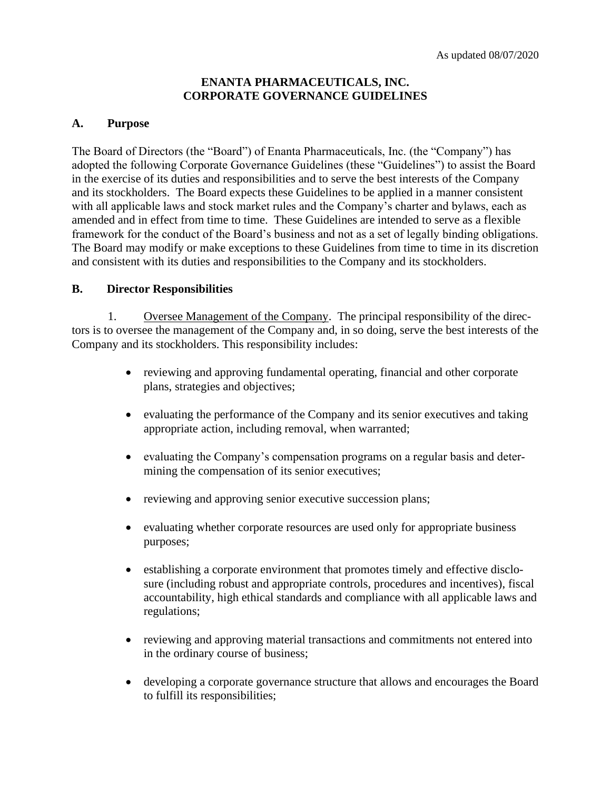#### **ENANTA PHARMACEUTICALS, INC. CORPORATE GOVERNANCE GUIDELINES**

#### **A. Purpose**

The Board of Directors (the "Board") of Enanta Pharmaceuticals, Inc. (the "Company") has adopted the following Corporate Governance Guidelines (these "Guidelines") to assist the Board in the exercise of its duties and responsibilities and to serve the best interests of the Company and its stockholders. The Board expects these Guidelines to be applied in a manner consistent with all applicable laws and stock market rules and the Company's charter and bylaws, each as amended and in effect from time to time. These Guidelines are intended to serve as a flexible framework for the conduct of the Board's business and not as a set of legally binding obligations. The Board may modify or make exceptions to these Guidelines from time to time in its discretion and consistent with its duties and responsibilities to the Company and its stockholders.

#### **B. Director Responsibilities**

1. Oversee Management of the Company. The principal responsibility of the directors is to oversee the management of the Company and, in so doing, serve the best interests of the Company and its stockholders. This responsibility includes:

- reviewing and approving fundamental operating, financial and other corporate plans, strategies and objectives;
- evaluating the performance of the Company and its senior executives and taking appropriate action, including removal, when warranted;
- evaluating the Company's compensation programs on a regular basis and determining the compensation of its senior executives;
- reviewing and approving senior executive succession plans;
- evaluating whether corporate resources are used only for appropriate business purposes;
- establishing a corporate environment that promotes timely and effective disclosure (including robust and appropriate controls, procedures and incentives), fiscal accountability, high ethical standards and compliance with all applicable laws and regulations;
- reviewing and approving material transactions and commitments not entered into in the ordinary course of business;
- developing a corporate governance structure that allows and encourages the Board to fulfill its responsibilities;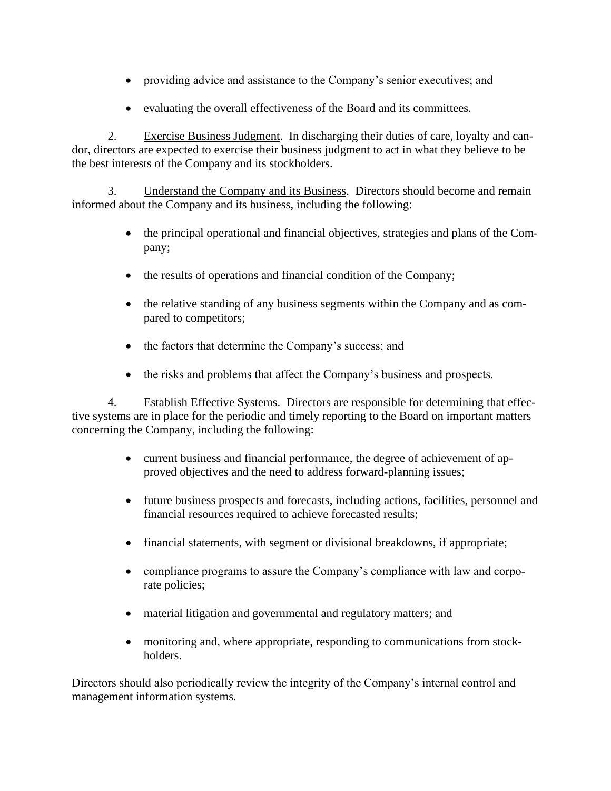- providing advice and assistance to the Company's senior executives; and
- evaluating the overall effectiveness of the Board and its committees.

2. Exercise Business Judgment. In discharging their duties of care, loyalty and candor, directors are expected to exercise their business judgment to act in what they believe to be the best interests of the Company and its stockholders.

3. Understand the Company and its Business. Directors should become and remain informed about the Company and its business, including the following:

- the principal operational and financial objectives, strategies and plans of the Company;
- the results of operations and financial condition of the Company;
- the relative standing of any business segments within the Company and as compared to competitors;
- the factors that determine the Company's success; and
- the risks and problems that affect the Company's business and prospects.

4. Establish Effective Systems. Directors are responsible for determining that effective systems are in place for the periodic and timely reporting to the Board on important matters concerning the Company, including the following:

- current business and financial performance, the degree of achievement of approved objectives and the need to address forward-planning issues;
- future business prospects and forecasts, including actions, facilities, personnel and financial resources required to achieve forecasted results;
- financial statements, with segment or divisional breakdowns, if appropriate;
- compliance programs to assure the Company's compliance with law and corporate policies;
- material litigation and governmental and regulatory matters; and
- monitoring and, where appropriate, responding to communications from stockholders.

Directors should also periodically review the integrity of the Company's internal control and management information systems.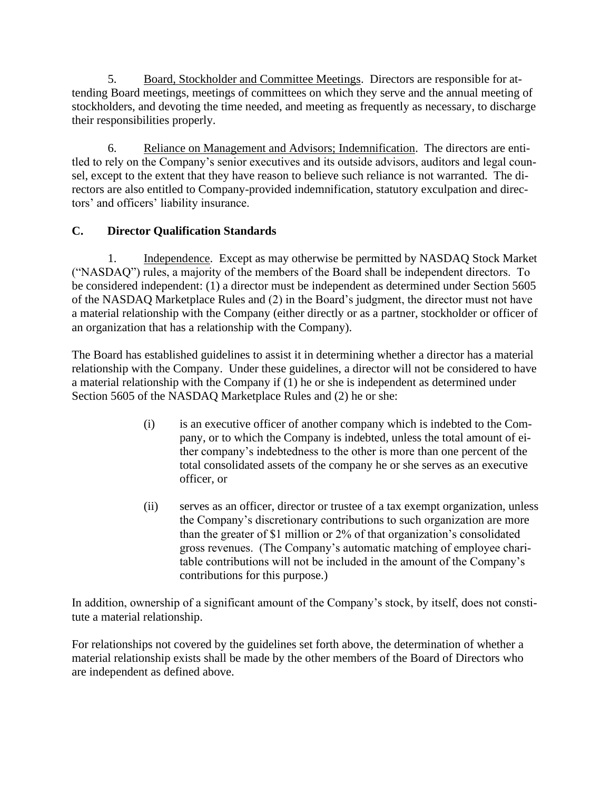5. Board, Stockholder and Committee Meetings. Directors are responsible for attending Board meetings, meetings of committees on which they serve and the annual meeting of stockholders, and devoting the time needed, and meeting as frequently as necessary, to discharge their responsibilities properly.

6. Reliance on Management and Advisors; Indemnification. The directors are entitled to rely on the Company's senior executives and its outside advisors, auditors and legal counsel, except to the extent that they have reason to believe such reliance is not warranted. The directors are also entitled to Company-provided indemnification, statutory exculpation and directors' and officers' liability insurance.

# **C. Director Qualification Standards**

1. Independence. Except as may otherwise be permitted by NASDAQ Stock Market ("NASDAQ") rules, a majority of the members of the Board shall be independent directors. To be considered independent: (1) a director must be independent as determined under Section 5605 of the NASDAQ Marketplace Rules and (2) in the Board's judgment, the director must not have a material relationship with the Company (either directly or as a partner, stockholder or officer of an organization that has a relationship with the Company).

The Board has established guidelines to assist it in determining whether a director has a material relationship with the Company. Under these guidelines, a director will not be considered to have a material relationship with the Company if (1) he or she is independent as determined under Section 5605 of the NASDAQ Marketplace Rules and (2) he or she:

- (i) is an executive officer of another company which is indebted to the Company, or to which the Company is indebted, unless the total amount of either company's indebtedness to the other is more than one percent of the total consolidated assets of the company he or she serves as an executive officer, or
- (ii) serves as an officer, director or trustee of a tax exempt organization, unless the Company's discretionary contributions to such organization are more than the greater of \$1 million or 2% of that organization's consolidated gross revenues. (The Company's automatic matching of employee charitable contributions will not be included in the amount of the Company's contributions for this purpose.)

In addition, ownership of a significant amount of the Company's stock, by itself, does not constitute a material relationship.

For relationships not covered by the guidelines set forth above, the determination of whether a material relationship exists shall be made by the other members of the Board of Directors who are independent as defined above.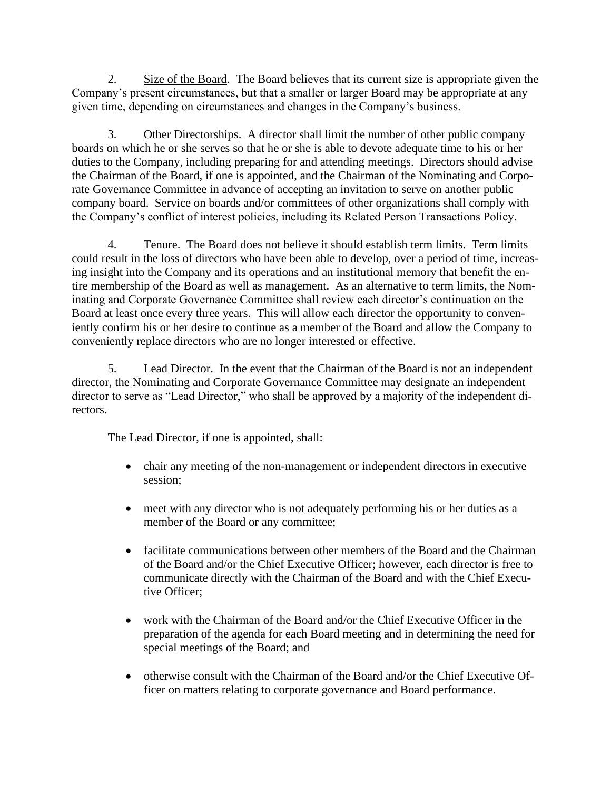2. Size of the Board. The Board believes that its current size is appropriate given the Company's present circumstances, but that a smaller or larger Board may be appropriate at any given time, depending on circumstances and changes in the Company's business.

3. Other Directorships. A director shall limit the number of other public company boards on which he or she serves so that he or she is able to devote adequate time to his or her duties to the Company, including preparing for and attending meetings. Directors should advise the Chairman of the Board, if one is appointed, and the Chairman of the Nominating and Corporate Governance Committee in advance of accepting an invitation to serve on another public company board. Service on boards and/or committees of other organizations shall comply with the Company's conflict of interest policies, including its Related Person Transactions Policy.

4. Tenure. The Board does not believe it should establish term limits. Term limits could result in the loss of directors who have been able to develop, over a period of time, increasing insight into the Company and its operations and an institutional memory that benefit the entire membership of the Board as well as management. As an alternative to term limits, the Nominating and Corporate Governance Committee shall review each director's continuation on the Board at least once every three years. This will allow each director the opportunity to conveniently confirm his or her desire to continue as a member of the Board and allow the Company to conveniently replace directors who are no longer interested or effective.

5. Lead Director. In the event that the Chairman of the Board is not an independent director, the Nominating and Corporate Governance Committee may designate an independent director to serve as "Lead Director," who shall be approved by a majority of the independent directors.

The Lead Director, if one is appointed, shall:

- chair any meeting of the non-management or independent directors in executive session;
- meet with any director who is not adequately performing his or her duties as a member of the Board or any committee;
- facilitate communications between other members of the Board and the Chairman of the Board and/or the Chief Executive Officer; however, each director is free to communicate directly with the Chairman of the Board and with the Chief Executive Officer;
- work with the Chairman of the Board and/or the Chief Executive Officer in the preparation of the agenda for each Board meeting and in determining the need for special meetings of the Board; and
- otherwise consult with the Chairman of the Board and/or the Chief Executive Officer on matters relating to corporate governance and Board performance.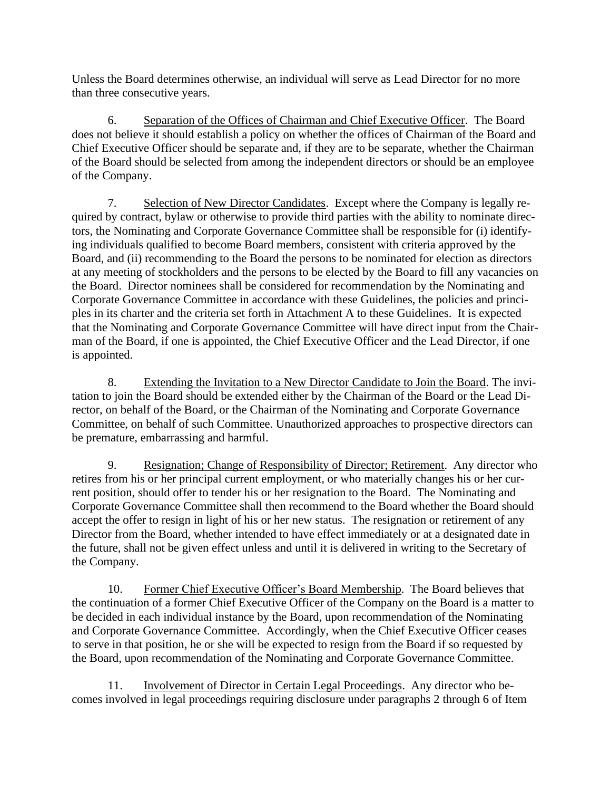Unless the Board determines otherwise, an individual will serve as Lead Director for no more than three consecutive years.

6. Separation of the Offices of Chairman and Chief Executive Officer. The Board does not believe it should establish a policy on whether the offices of Chairman of the Board and Chief Executive Officer should be separate and, if they are to be separate, whether the Chairman of the Board should be selected from among the independent directors or should be an employee of the Company.

7. Selection of New Director Candidates. Except where the Company is legally required by contract, bylaw or otherwise to provide third parties with the ability to nominate directors, the Nominating and Corporate Governance Committee shall be responsible for (i) identifying individuals qualified to become Board members, consistent with criteria approved by the Board, and (ii) recommending to the Board the persons to be nominated for election as directors at any meeting of stockholders and the persons to be elected by the Board to fill any vacancies on the Board. Director nominees shall be considered for recommendation by the Nominating and Corporate Governance Committee in accordance with these Guidelines, the policies and principles in its charter and the criteria set forth in Attachment A to these Guidelines. It is expected that the Nominating and Corporate Governance Committee will have direct input from the Chairman of the Board, if one is appointed, the Chief Executive Officer and the Lead Director, if one is appointed.

8. Extending the Invitation to a New Director Candidate to Join the Board. The invitation to join the Board should be extended either by the Chairman of the Board or the Lead Director, on behalf of the Board, or the Chairman of the Nominating and Corporate Governance Committee, on behalf of such Committee. Unauthorized approaches to prospective directors can be premature, embarrassing and harmful.

9. Resignation; Change of Responsibility of Director; Retirement. Any director who retires from his or her principal current employment, or who materially changes his or her current position, should offer to tender his or her resignation to the Board. The Nominating and Corporate Governance Committee shall then recommend to the Board whether the Board should accept the offer to resign in light of his or her new status. The resignation or retirement of any Director from the Board, whether intended to have effect immediately or at a designated date in the future, shall not be given effect unless and until it is delivered in writing to the Secretary of the Company.

10. Former Chief Executive Officer's Board Membership. The Board believes that the continuation of a former Chief Executive Officer of the Company on the Board is a matter to be decided in each individual instance by the Board, upon recommendation of the Nominating and Corporate Governance Committee. Accordingly, when the Chief Executive Officer ceases to serve in that position, he or she will be expected to resign from the Board if so requested by the Board, upon recommendation of the Nominating and Corporate Governance Committee.

11. Involvement of Director in Certain Legal Proceedings. Any director who becomes involved in legal proceedings requiring disclosure under paragraphs 2 through 6 of Item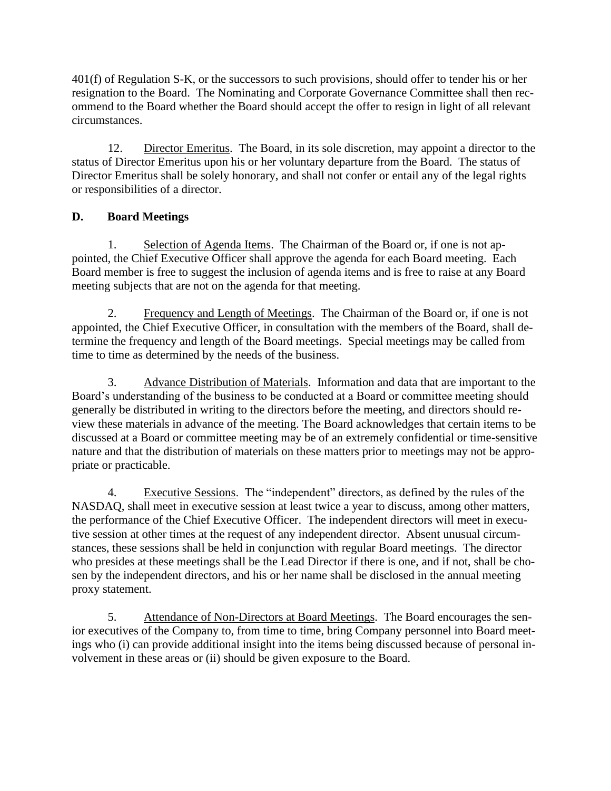401(f) of Regulation S-K, or the successors to such provisions, should offer to tender his or her resignation to the Board. The Nominating and Corporate Governance Committee shall then recommend to the Board whether the Board should accept the offer to resign in light of all relevant circumstances.

12. Director Emeritus. The Board, in its sole discretion, may appoint a director to the status of Director Emeritus upon his or her voluntary departure from the Board. The status of Director Emeritus shall be solely honorary, and shall not confer or entail any of the legal rights or responsibilities of a director.

# **D. Board Meetings**

1. Selection of Agenda Items. The Chairman of the Board or, if one is not appointed, the Chief Executive Officer shall approve the agenda for each Board meeting. Each Board member is free to suggest the inclusion of agenda items and is free to raise at any Board meeting subjects that are not on the agenda for that meeting.

2. Frequency and Length of Meetings. The Chairman of the Board or, if one is not appointed, the Chief Executive Officer, in consultation with the members of the Board, shall determine the frequency and length of the Board meetings. Special meetings may be called from time to time as determined by the needs of the business.

3. Advance Distribution of Materials. Information and data that are important to the Board's understanding of the business to be conducted at a Board or committee meeting should generally be distributed in writing to the directors before the meeting, and directors should review these materials in advance of the meeting. The Board acknowledges that certain items to be discussed at a Board or committee meeting may be of an extremely confidential or time-sensitive nature and that the distribution of materials on these matters prior to meetings may not be appropriate or practicable.

4. Executive Sessions. The "independent" directors, as defined by the rules of the NASDAQ, shall meet in executive session at least twice a year to discuss, among other matters, the performance of the Chief Executive Officer. The independent directors will meet in executive session at other times at the request of any independent director. Absent unusual circumstances, these sessions shall be held in conjunction with regular Board meetings. The director who presides at these meetings shall be the Lead Director if there is one, and if not, shall be chosen by the independent directors, and his or her name shall be disclosed in the annual meeting proxy statement.

5. Attendance of Non-Directors at Board Meetings. The Board encourages the senior executives of the Company to, from time to time, bring Company personnel into Board meetings who (i) can provide additional insight into the items being discussed because of personal involvement in these areas or (ii) should be given exposure to the Board.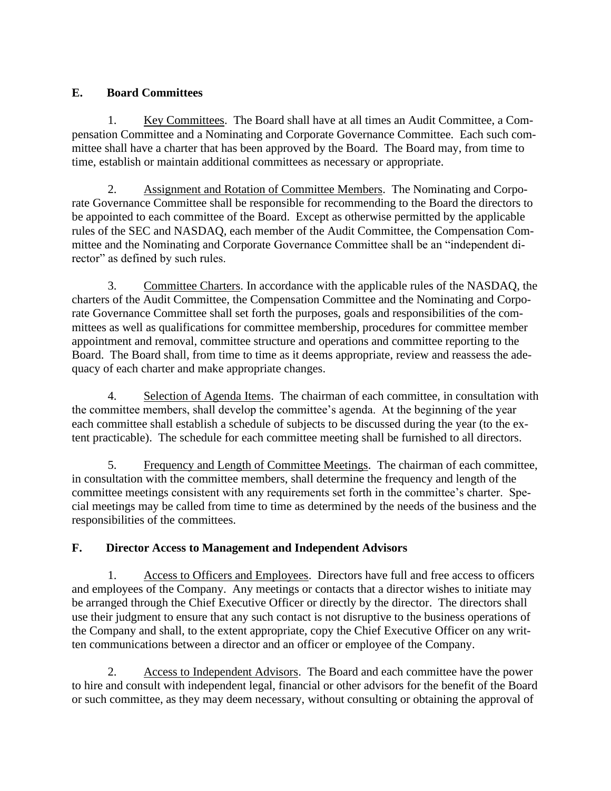### **E. Board Committees**

1. Key Committees. The Board shall have at all times an Audit Committee, a Compensation Committee and a Nominating and Corporate Governance Committee. Each such committee shall have a charter that has been approved by the Board. The Board may, from time to time, establish or maintain additional committees as necessary or appropriate.

2. Assignment and Rotation of Committee Members. The Nominating and Corporate Governance Committee shall be responsible for recommending to the Board the directors to be appointed to each committee of the Board. Except as otherwise permitted by the applicable rules of the SEC and NASDAQ, each member of the Audit Committee, the Compensation Committee and the Nominating and Corporate Governance Committee shall be an "independent director" as defined by such rules.

3. Committee Charters. In accordance with the applicable rules of the NASDAQ, the charters of the Audit Committee, the Compensation Committee and the Nominating and Corporate Governance Committee shall set forth the purposes, goals and responsibilities of the committees as well as qualifications for committee membership, procedures for committee member appointment and removal, committee structure and operations and committee reporting to the Board. The Board shall, from time to time as it deems appropriate, review and reassess the adequacy of each charter and make appropriate changes.

4. Selection of Agenda Items. The chairman of each committee, in consultation with the committee members, shall develop the committee's agenda. At the beginning of the year each committee shall establish a schedule of subjects to be discussed during the year (to the extent practicable). The schedule for each committee meeting shall be furnished to all directors.

5. Frequency and Length of Committee Meetings. The chairman of each committee, in consultation with the committee members, shall determine the frequency and length of the committee meetings consistent with any requirements set forth in the committee's charter. Special meetings may be called from time to time as determined by the needs of the business and the responsibilities of the committees.

# **F. Director Access to Management and Independent Advisors**

1. Access to Officers and Employees. Directors have full and free access to officers and employees of the Company. Any meetings or contacts that a director wishes to initiate may be arranged through the Chief Executive Officer or directly by the director. The directors shall use their judgment to ensure that any such contact is not disruptive to the business operations of the Company and shall, to the extent appropriate, copy the Chief Executive Officer on any written communications between a director and an officer or employee of the Company.

2. Access to Independent Advisors. The Board and each committee have the power to hire and consult with independent legal, financial or other advisors for the benefit of the Board or such committee, as they may deem necessary, without consulting or obtaining the approval of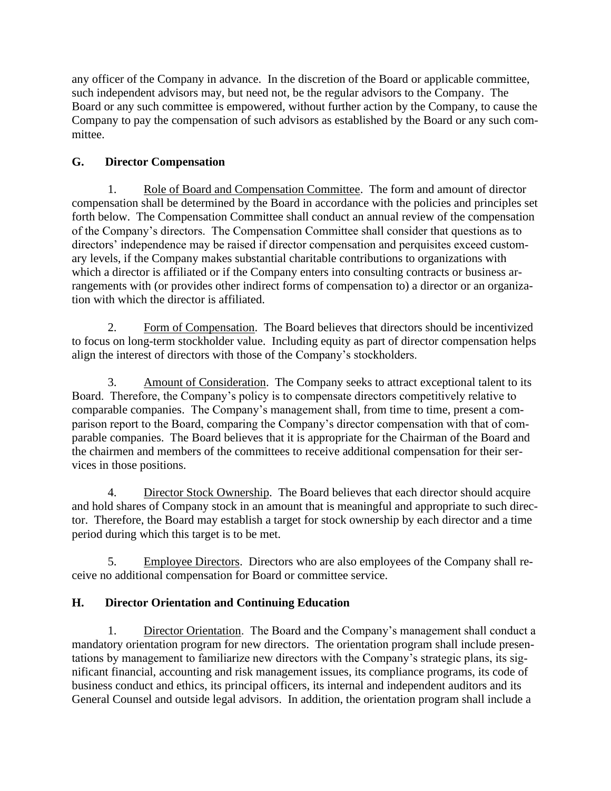any officer of the Company in advance. In the discretion of the Board or applicable committee, such independent advisors may, but need not, be the regular advisors to the Company. The Board or any such committee is empowered, without further action by the Company, to cause the Company to pay the compensation of such advisors as established by the Board or any such committee.

# **G. Director Compensation**

1. Role of Board and Compensation Committee. The form and amount of director compensation shall be determined by the Board in accordance with the policies and principles set forth below. The Compensation Committee shall conduct an annual review of the compensation of the Company's directors. The Compensation Committee shall consider that questions as to directors' independence may be raised if director compensation and perquisites exceed customary levels, if the Company makes substantial charitable contributions to organizations with which a director is affiliated or if the Company enters into consulting contracts or business arrangements with (or provides other indirect forms of compensation to) a director or an organization with which the director is affiliated.

2. Form of Compensation. The Board believes that directors should be incentivized to focus on long-term stockholder value. Including equity as part of director compensation helps align the interest of directors with those of the Company's stockholders.

3. Amount of Consideration. The Company seeks to attract exceptional talent to its Board. Therefore, the Company's policy is to compensate directors competitively relative to comparable companies. The Company's management shall, from time to time, present a comparison report to the Board, comparing the Company's director compensation with that of comparable companies. The Board believes that it is appropriate for the Chairman of the Board and the chairmen and members of the committees to receive additional compensation for their services in those positions.

4. Director Stock Ownership. The Board believes that each director should acquire and hold shares of Company stock in an amount that is meaningful and appropriate to such director. Therefore, the Board may establish a target for stock ownership by each director and a time period during which this target is to be met.

5. Employee Directors. Directors who are also employees of the Company shall receive no additional compensation for Board or committee service.

# **H. Director Orientation and Continuing Education**

1. Director Orientation. The Board and the Company's management shall conduct a mandatory orientation program for new directors. The orientation program shall include presentations by management to familiarize new directors with the Company's strategic plans, its significant financial, accounting and risk management issues, its compliance programs, its code of business conduct and ethics, its principal officers, its internal and independent auditors and its General Counsel and outside legal advisors. In addition, the orientation program shall include a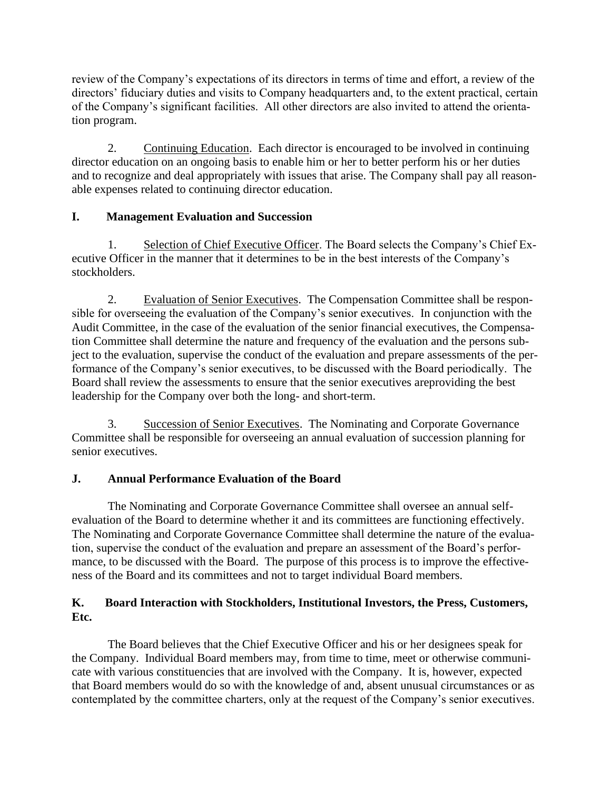review of the Company's expectations of its directors in terms of time and effort, a review of the directors' fiduciary duties and visits to Company headquarters and, to the extent practical, certain of the Company's significant facilities. All other directors are also invited to attend the orientation program.

2. Continuing Education. Each director is encouraged to be involved in continuing director education on an ongoing basis to enable him or her to better perform his or her duties and to recognize and deal appropriately with issues that arise. The Company shall pay all reasonable expenses related to continuing director education.

# **I. Management Evaluation and Succession**

1. Selection of Chief Executive Officer. The Board selects the Company's Chief Executive Officer in the manner that it determines to be in the best interests of the Company's stockholders.

2. Evaluation of Senior Executives. The Compensation Committee shall be responsible for overseeing the evaluation of the Company's senior executives. In conjunction with the Audit Committee, in the case of the evaluation of the senior financial executives, the Compensation Committee shall determine the nature and frequency of the evaluation and the persons subject to the evaluation, supervise the conduct of the evaluation and prepare assessments of the performance of the Company's senior executives, to be discussed with the Board periodically. The Board shall review the assessments to ensure that the senior executives areproviding the best leadership for the Company over both the long- and short-term.

3. Succession of Senior Executives. The Nominating and Corporate Governance Committee shall be responsible for overseeing an annual evaluation of succession planning for senior executives.

# **J. Annual Performance Evaluation of the Board**

The Nominating and Corporate Governance Committee shall oversee an annual selfevaluation of the Board to determine whether it and its committees are functioning effectively. The Nominating and Corporate Governance Committee shall determine the nature of the evaluation, supervise the conduct of the evaluation and prepare an assessment of the Board's performance, to be discussed with the Board. The purpose of this process is to improve the effectiveness of the Board and its committees and not to target individual Board members.

### **K. Board Interaction with Stockholders, Institutional Investors, the Press, Customers, Etc.**

The Board believes that the Chief Executive Officer and his or her designees speak for the Company. Individual Board members may, from time to time, meet or otherwise communicate with various constituencies that are involved with the Company. It is, however, expected that Board members would do so with the knowledge of and, absent unusual circumstances or as contemplated by the committee charters, only at the request of the Company's senior executives.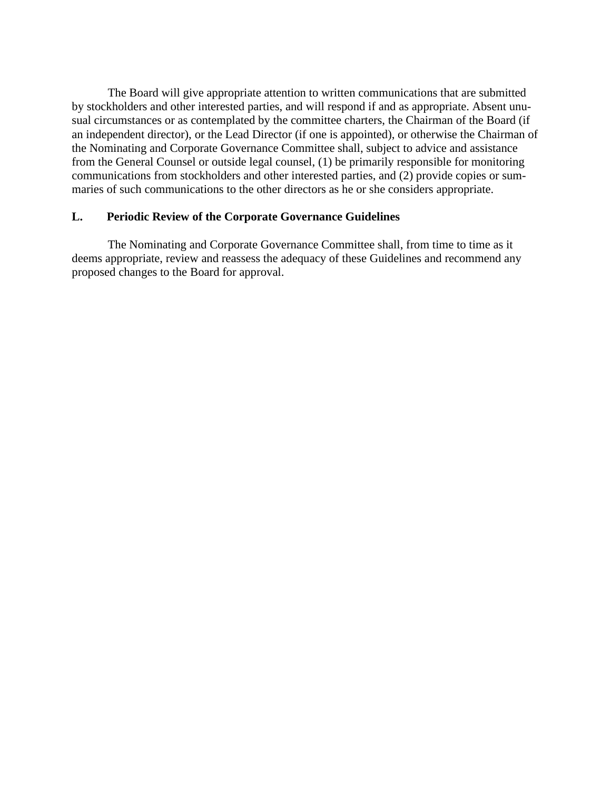The Board will give appropriate attention to written communications that are submitted by stockholders and other interested parties, and will respond if and as appropriate. Absent unusual circumstances or as contemplated by the committee charters, the Chairman of the Board (if an independent director), or the Lead Director (if one is appointed), or otherwise the Chairman of the Nominating and Corporate Governance Committee shall, subject to advice and assistance from the General Counsel or outside legal counsel, (1) be primarily responsible for monitoring communications from stockholders and other interested parties, and (2) provide copies or summaries of such communications to the other directors as he or she considers appropriate.

#### **L. Periodic Review of the Corporate Governance Guidelines**

The Nominating and Corporate Governance Committee shall, from time to time as it deems appropriate, review and reassess the adequacy of these Guidelines and recommend any proposed changes to the Board for approval.